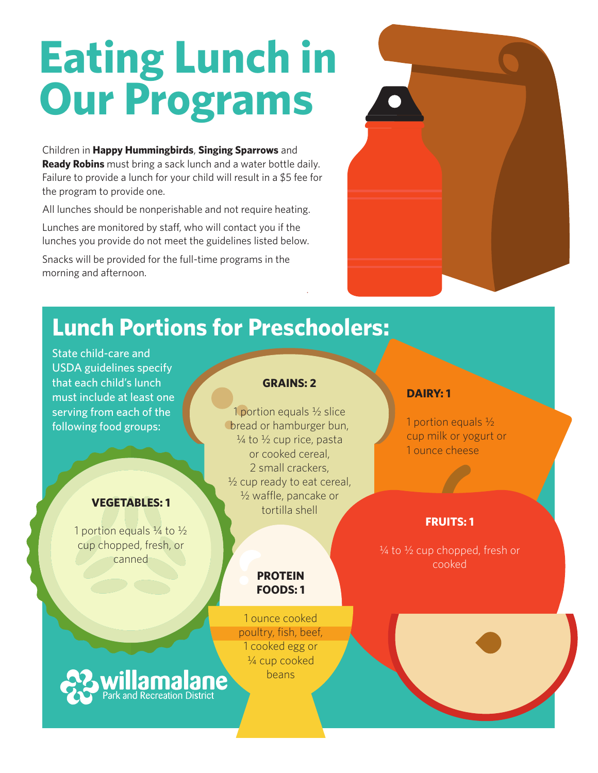# **Eating Lunch in Our Programs**

Children in **Happy Hummingbirds**, **Singing Sparrows** and **Ready Robins** must bring a sack lunch and a water bottle daily. Failure to provide a lunch for your child will result in a \$5 fee for the program to provide one.

All lunches should be nonperishable and not require heating.

Lunches are monitored by staff, who will contact you if the lunches you provide do not meet the guidelines listed below.

Snacks will be provided for the full-time programs in the morning and afternoon.

### **Lunch Portions for Preschoolers:**

State child-care and USDA guidelines specify that each child's lunch must include at least one serving from each of the following food groups:

### **VEGETABLES: 1**

1 portion equals  $\frac{1}{4}$  to  $\frac{1}{2}$ cup chopped, fresh, or canned

#### **GRAINS: 2**

1 portion equals ½ slice bread or hamburger bun,  $\frac{1}{4}$  to  $\frac{1}{2}$  cup rice, pasta or cooked cereal, 2 small crackers,  $\frac{1}{2}$  cup ready to eat cereal, ½ waffle, pancake or tortilla shell

#### **PROTEIN FOODS: 1**

1 ounce cooked poultry, fish, beef, 1 cooked egg or ¼ cup cooked beans

### **DAIRY: 1**

1 portion equals ½ cup milk or yogurt or 1 ounce cheese

### **FRUITS: 1**

 $\frac{1}{4}$  to  $\frac{1}{2}$  cup chopped, fresh or cooked